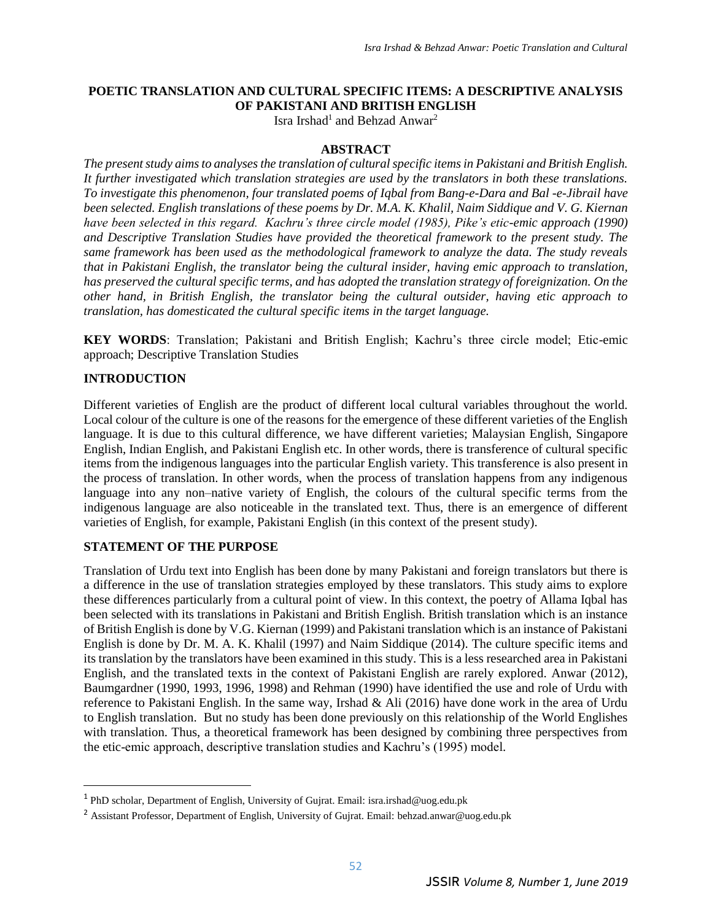## **POETIC TRANSLATION AND CULTURAL SPECIFIC ITEMS: A DESCRIPTIVE ANALYSIS OF PAKISTANI AND BRITISH ENGLISH**

Isra Irshad<sup>1</sup> and Behzad Anwar<sup>2</sup>

#### **ABSTRACT**

*The present study aims to analyses the translation of cultural specific items in Pakistani and British English. It further investigated which translation strategies are used by the translators in both these translations. To investigate this phenomenon, four translated poems of Iqbal from Bang-e-Dara and Bal -e-Jibrail have been selected. English translations of these poems by Dr. M.A. K. Khalil, Naim Siddique and V. G. Kiernan have been selected in this regard. Kachru's three circle model (1985), Pike's etic-emic approach (1990) and Descriptive Translation Studies have provided the theoretical framework to the present study. The same framework has been used as the methodological framework to analyze the data. The study reveals that in Pakistani English, the translator being the cultural insider, having emic approach to translation, has preserved the cultural specific terms, and has adopted the translation strategy of foreignization. On the other hand, in British English, the translator being the cultural outsider, having etic approach to translation, has domesticated the cultural specific items in the target language.*

**KEY WORDS**: Translation; Pakistani and British English; Kachru's three circle model; Etic-emic approach; Descriptive Translation Studies

#### **INTRODUCTION**

l

Different varieties of English are the product of different local cultural variables throughout the world. Local colour of the culture is one of the reasons for the emergence of these different varieties of the English language. It is due to this cultural difference, we have different varieties; Malaysian English, Singapore English, Indian English, and Pakistani English etc. In other words, there is transference of cultural specific items from the indigenous languages into the particular English variety. This transference is also present in the process of translation. In other words, when the process of translation happens from any indigenous language into any non–native variety of English, the colours of the cultural specific terms from the indigenous language are also noticeable in the translated text. Thus, there is an emergence of different varieties of English, for example, Pakistani English (in this context of the present study).

## **STATEMENT OF THE PURPOSE**

Translation of Urdu text into English has been done by many Pakistani and foreign translators but there is a difference in the use of translation strategies employed by these translators. This study aims to explore these differences particularly from a cultural point of view. In this context, the poetry of Allama Iqbal has been selected with its translations in Pakistani and British English. British translation which is an instance of British English is done by V.G. Kiernan (1999) and Pakistani translation which is an instance of Pakistani English is done by Dr. M. A. K. Khalil (1997) and Naim Siddique (2014). The culture specific items and its translation by the translators have been examined in this study. This is a less researched area in Pakistani English, and the translated texts in the context of Pakistani English are rarely explored. Anwar (2012), Baumgardner (1990, 1993, 1996, 1998) and Rehman (1990) have identified the use and role of Urdu with reference to Pakistani English. In the same way, Irshad & Ali (2016) have done work in the area of Urdu to English translation. But no study has been done previously on this relationship of the World Englishes with translation. Thus, a theoretical framework has been designed by combining three perspectives from the etic-emic approach, descriptive translation studies and Kachru's (1995) model.

<sup>&</sup>lt;sup>1</sup> PhD scholar, Department of English, University of Gujrat. Email[: isra.irshad@uog.edu.pk](mailto:isra.irshad@uog.edu.pk)

<sup>&</sup>lt;sup>2</sup> Assistant Professor, Department of English, University of Gujrat. Email: [behzad.anwar@uog.edu.pk](mailto:behzad.anwar@uog.edu.pk)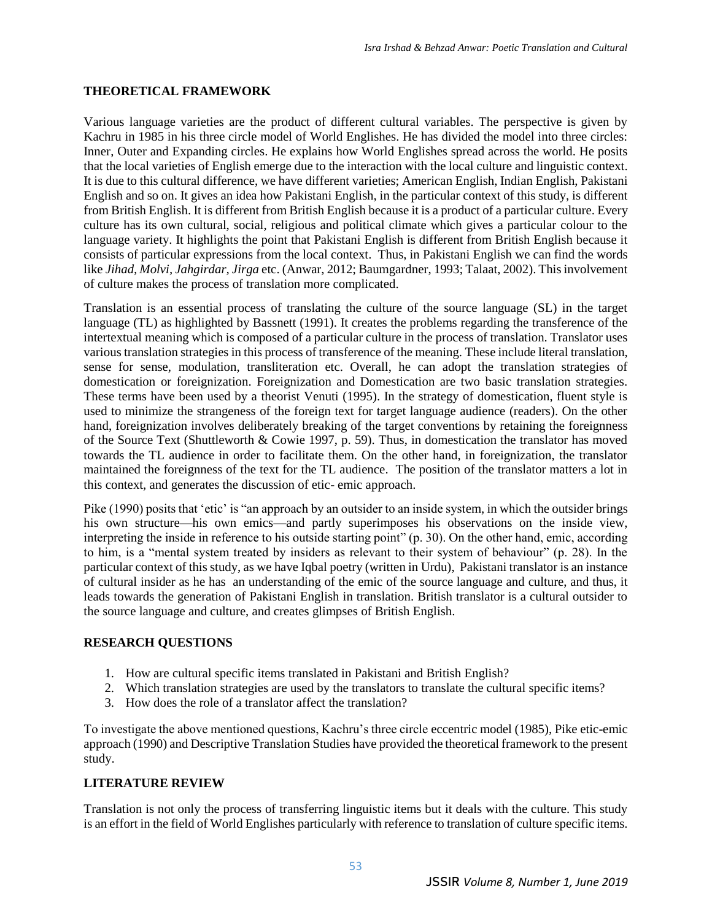## **THEORETICAL FRAMEWORK**

Various language varieties are the product of different cultural variables. The perspective is given by Kachru in 1985 in his three circle model of World Englishes. He has divided the model into three circles: Inner, Outer and Expanding circles. He explains how World Englishes spread across the world. He posits that the local varieties of English emerge due to the interaction with the local culture and linguistic context. It is due to this cultural difference, we have different varieties; American English, Indian English, Pakistani English and so on. It gives an idea how Pakistani English, in the particular context of this study, is different from British English. It is different from British English because it is a product of a particular culture. Every culture has its own cultural, social, religious and political climate which gives a particular colour to the language variety. It highlights the point that Pakistani English is different from British English because it consists of particular expressions from the local context. Thus, in Pakistani English we can find the words like *Jihad, Molvi, Jahgirdar, Jirga* etc. (Anwar, 2012; Baumgardner, 1993; Talaat, 2002). This involvement of culture makes the process of translation more complicated.

Translation is an essential process of translating the culture of the source language (SL) in the target language (TL) as highlighted by Bassnett (1991). It creates the problems regarding the transference of the intertextual meaning which is composed of a particular culture in the process of translation. Translator uses various translation strategies in this process of transference of the meaning. These include literal translation, sense for sense, modulation, transliteration etc. Overall, he can adopt the translation strategies of domestication or foreignization. Foreignization and Domestication are two basic translation strategies. These terms have been used by a theorist Venuti (1995). In the strategy of domestication, fluent style is used to minimize the strangeness of the foreign text for target language audience (readers). On the other hand, foreignization involves deliberately breaking of the target conventions by retaining the foreignness of the Source Text (Shuttleworth & Cowie 1997, p. 59). Thus, in domestication the translator has moved towards the TL audience in order to facilitate them. On the other hand, in foreignization, the translator maintained the foreignness of the text for the TL audience. The position of the translator matters a lot in this context, and generates the discussion of etic- emic approach.

Pike (1990) posits that 'etic' is "an approach by an outsider to an inside system, in which the outsider brings his own structure—his own emics—and partly superimposes his observations on the inside view, interpreting the inside in reference to his outside starting point" (p. 30). On the other hand, emic, according to him, is a "mental system treated by insiders as relevant to their system of behaviour" (p. 28). In the particular context of this study, as we have Iqbal poetry (written in Urdu), Pakistani translator is an instance of cultural insider as he has an understanding of the emic of the source language and culture, and thus, it leads towards the generation of Pakistani English in translation. British translator is a cultural outsider to the source language and culture, and creates glimpses of British English.

## **RESEARCH QUESTIONS**

- 1. How are cultural specific items translated in Pakistani and British English?
- 2. Which translation strategies are used by the translators to translate the cultural specific items?
- 3. How does the role of a translator affect the translation?

To investigate the above mentioned questions, Kachru's three circle eccentric model (1985), Pike etic-emic approach (1990) and Descriptive Translation Studies have provided the theoretical framework to the present study.

## **LITERATURE REVIEW**

Translation is not only the process of transferring linguistic items but it deals with the culture. This study is an effort in the field of World Englishes particularly with reference to translation of culture specific items.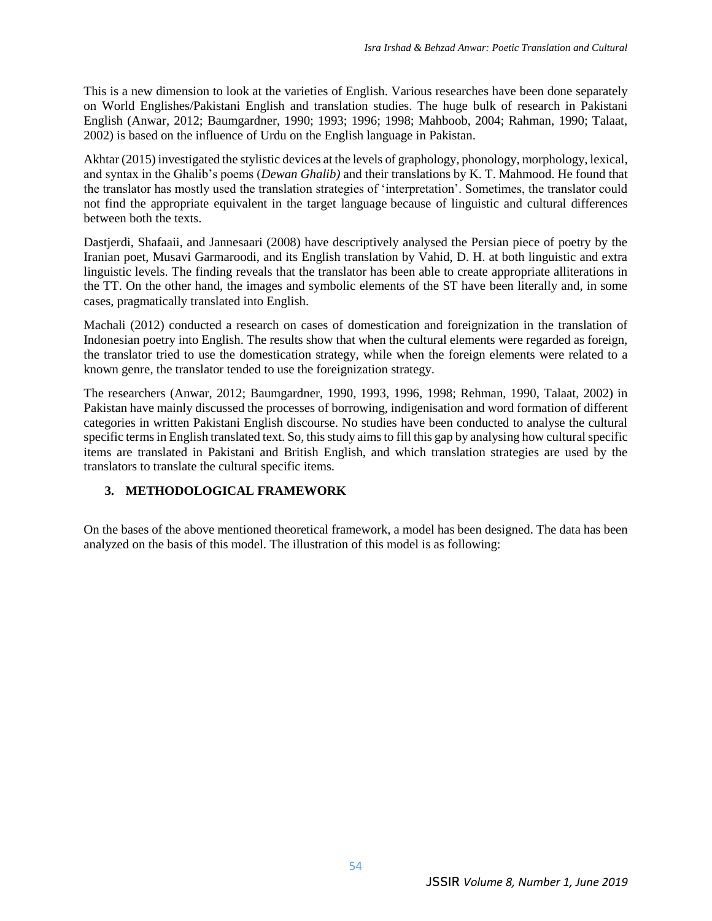This is a new dimension to look at the varieties of English. Various researches have been done separately on World Englishes/Pakistani English and translation studies. The huge bulk of research in Pakistani English (Anwar, 2012; Baumgardner, 1990; 1993; 1996; 1998; Mahboob, 2004; Rahman, 1990; Talaat, 2002) is based on the influence of Urdu on the English language in Pakistan.

Akhtar (2015) investigated the stylistic devices at the levels of graphology, phonology, morphology, lexical, and syntax in the Ghalib's poems (*Dewan Ghalib)* and their translations by K. T. Mahmood. He found that the translator has mostly used the translation strategies of 'interpretation'. Sometimes, the translator could not find the appropriate equivalent in the target language because of linguistic and cultural differences between both the texts.

Dastjerdi, Shafaaii, and Jannesaari (2008) have descriptively analysed the Persian piece of poetry by the Iranian poet, Musavi Garmaroodi, and its English translation by Vahid, D. H. at both linguistic and extra linguistic levels. The finding reveals that the translator has been able to create appropriate alliterations in the TT. On the other hand, the images and symbolic elements of the ST have been literally and, in some cases, pragmatically translated into English.

Machali (2012) conducted a research on cases of domestication and foreignization in the translation of Indonesian poetry into English. The results show that when the cultural elements were regarded as foreign, the translator tried to use the domestication strategy, while when the foreign elements were related to a known genre, the translator tended to use the foreignization strategy.

The researchers (Anwar, 2012; Baumgardner, 1990, 1993, 1996, 1998; Rehman, 1990, Talaat, 2002) in Pakistan have mainly discussed the processes of borrowing, indigenisation and word formation of different categories in written Pakistani English discourse. No studies have been conducted to analyse the cultural specific terms in English translated text. So, this study aims to fill this gap by analysing how cultural specific items are translated in Pakistani and British English, and which translation strategies are used by the translators to translate the cultural specific items.

## **3. METHODOLOGICAL FRAMEWORK**

On the bases of the above mentioned theoretical framework, a model has been designed. The data has been analyzed on the basis of this model. The illustration of this model is as following: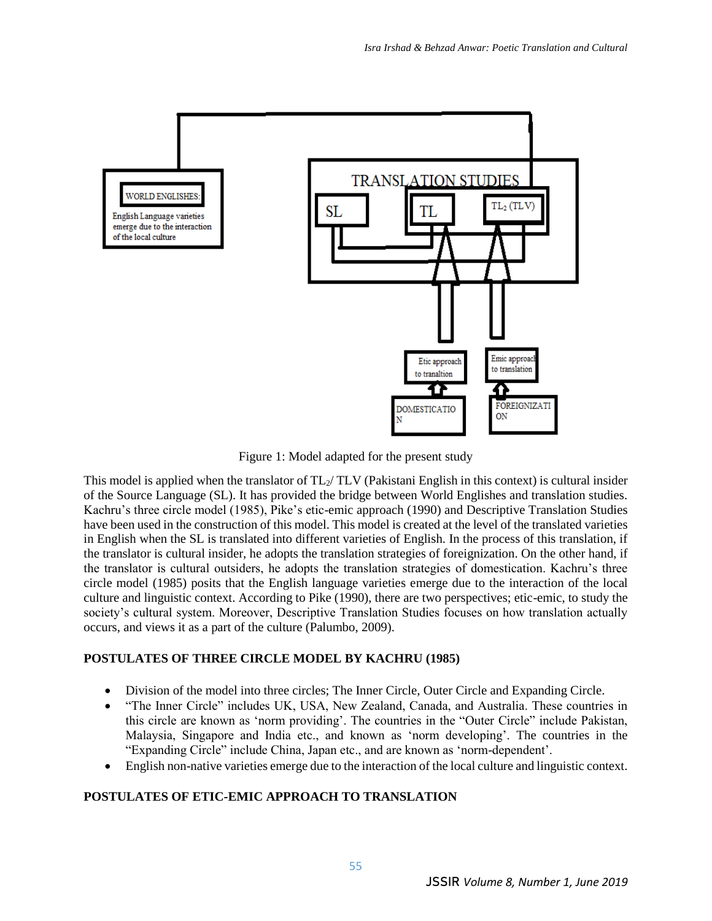

Figure 1: Model adapted for the present study

This model is applied when the translator of  $TL_2/TLV$  (Pakistani English in this context) is cultural insider of the Source Language (SL). It has provided the bridge between World Englishes and translation studies. Kachru's three circle model (1985), Pike's etic-emic approach (1990) and Descriptive Translation Studies have been used in the construction of this model. This model is created at the level of the translated varieties in English when the SL is translated into different varieties of English. In the process of this translation, if the translator is cultural insider, he adopts the translation strategies of foreignization. On the other hand, if the translator is cultural outsiders, he adopts the translation strategies of domestication. Kachru's three circle model (1985) posits that the English language varieties emerge due to the interaction of the local culture and linguistic context. According to Pike (1990), there are two perspectives; etic-emic, to study the society's cultural system. Moreover, Descriptive Translation Studies focuses on how translation actually occurs, and views it as a part of the culture (Palumbo, 2009).

## **POSTULATES OF THREE CIRCLE MODEL BY KACHRU (1985)**

- Division of the model into three circles; The Inner Circle, Outer Circle and Expanding Circle.
- "The Inner Circle" includes UK, USA, New Zealand, Canada, and Australia. These countries in this circle are known as 'norm providing'. The countries in the "Outer Circle" include Pakistan, Malaysia, Singapore and India etc., and known as 'norm developing'. The countries in the "Expanding Circle" include China, Japan etc., and are known as 'norm-dependent'.
- English non-native varieties emerge due to the interaction of the local culture and linguistic context.

## **POSTULATES OF ETIC-EMIC APPROACH TO TRANSLATION**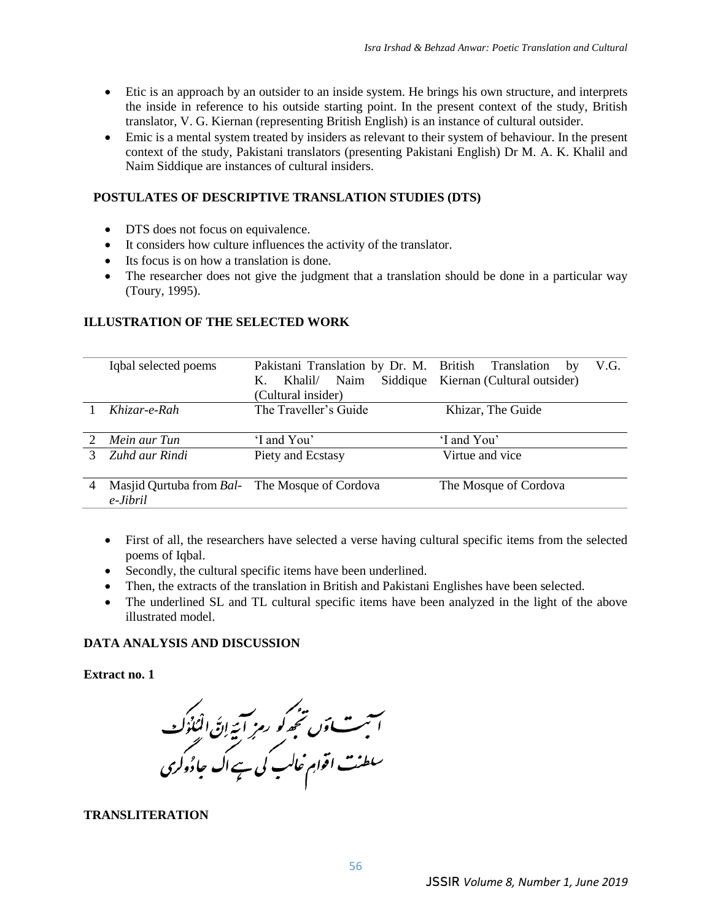- Etic is an approach by an outsider to an inside system. He brings his own structure, and interprets the inside in reference to his outside starting point. In the present context of the study, British translator, V. G. Kiernan (representing British English) is an instance of cultural outsider.
- Emic is a mental system treated by insiders as relevant to their system of behaviour. In the present context of the study, Pakistani translators (presenting Pakistani English) Dr M. A. K. Khalil and Naim Siddique are instances of cultural insiders.

#### **POSTULATES OF DESCRIPTIVE TRANSLATION STUDIES (DTS)**

- DTS does not focus on equivalence.
- It considers how culture influences the activity of the translator.
- Its focus is on how a translation is done.
- The researcher does not give the judgment that a translation should be done in a particular way (Toury, 1995).

#### **ILLUSTRATION OF THE SELECTED WORK**

|                       | Iqbal selected poems                                       | Pakistani Translation by Dr. M. British Translation<br>Naim<br>Siddique<br>К.<br>Khalil/<br>(Cultural insider) | V.G.<br>by<br>Kiernan (Cultural outsider) |
|-----------------------|------------------------------------------------------------|----------------------------------------------------------------------------------------------------------------|-------------------------------------------|
|                       | Khizar-e-Rah                                               | The Traveller's Guide                                                                                          | Khizar, The Guide                         |
|                       |                                                            |                                                                                                                |                                           |
| $\mathcal{D}_{\cdot}$ | Mein aur Tun                                               | 'I and You'                                                                                                    | 'I and You'                               |
| 3                     | Zuhd aur Rindi                                             | Piety and Ecstasy                                                                                              | Virtue and vice                           |
| 4                     | Masjid Qurtuba from Bal- The Mosque of Cordova<br>e-Jibril |                                                                                                                | The Mosque of Cordova                     |

- First of all, the researchers have selected a verse having cultural specific items from the selected poems of Iqbal.
- Secondly, the cultural specific items have been underlined.
- Then, the extracts of the translation in British and Pakistani Englishes have been selected.
- The underlined SL and TL cultural specific items have been analyzed in the light of the above illustrated model.

## **DATA ANALYSIS AND DISCUSSION**

#### **Extract no. 1**

ست آوں تجھ کو رمز آئیے اِنَّ الْمُلُوَك<br>است آوں تجھ کو رمزِ آئیے اِنَّ الْمُلُوك<br>سلطنت اقوامِ عالب کی ہے اک حاوُوکری

#### **TRANSLITERATION**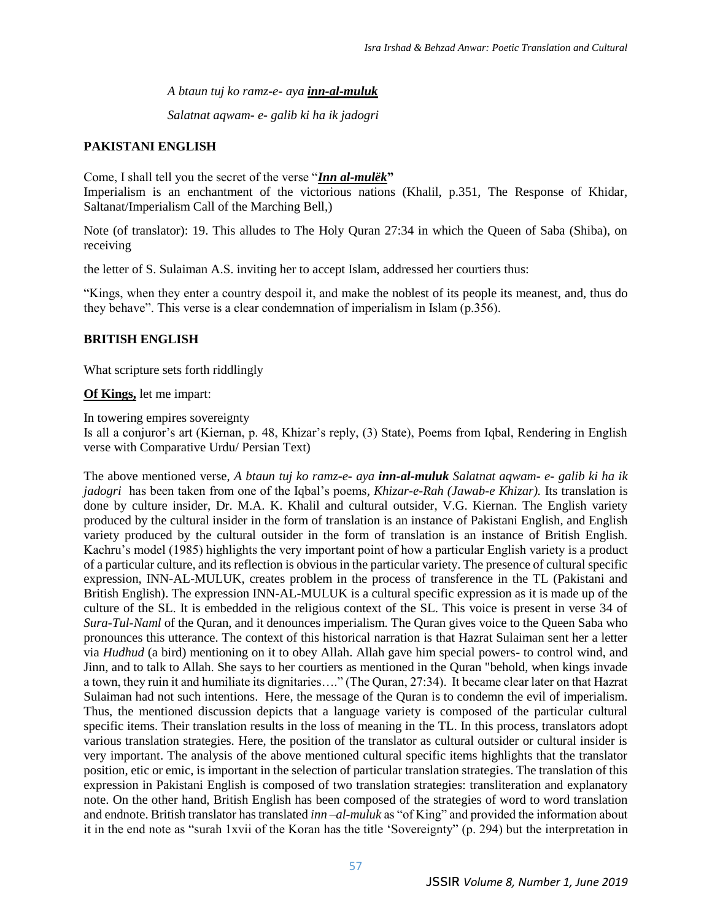*A btaun tuj ko ramz-e- aya inn-al-muluk*

*Salatnat aqwam- e- galib ki ha ik jadogri*

#### **PAKISTANI ENGLISH**

Come, I shall tell you the secret of the verse "*Inn al-mulëk***"**

Imperialism is an enchantment of the victorious nations (Khalil, p.351, The Response of Khidar, Saltanat/Imperialism Call of the Marching Bell,)

Note (of translator): 19. This alludes to The Holy Quran 27:34 in which the Queen of Saba (Shiba), on receiving

the letter of S. Sulaiman A.S. inviting her to accept Islam, addressed her courtiers thus:

"Kings, when they enter a country despoil it, and make the noblest of its people its meanest, and, thus do they behave". This verse is a clear condemnation of imperialism in Islam (p.356).

#### **BRITISH ENGLISH**

What scripture sets forth riddlingly

**Of Kings,** let me impart:

In towering empires sovereignty

Is all a conjuror's art (Kiernan, p. 48, Khizar's reply, (3) State), Poems from Iqbal, Rendering in English verse with Comparative Urdu/ Persian Text)

The above mentioned verse, *A btaun tuj ko ramz-e- aya inn-al-muluk Salatnat aqwam- e- galib ki ha ik jadogri* has been taken from one of the Iqbal's poems*, Khizar-e-Rah (Jawab-e Khizar).* Its translation is done by culture insider, Dr. M.A. K. Khalil and cultural outsider, V.G. Kiernan. The English variety produced by the cultural insider in the form of translation is an instance of Pakistani English, and English variety produced by the cultural outsider in the form of translation is an instance of British English. Kachru's model (1985) highlights the very important point of how a particular English variety is a product of a particular culture, and its reflection is obvious in the particular variety. The presence of cultural specific expression, INN-AL-MULUK, creates problem in the process of transference in the TL (Pakistani and British English). The expression INN-AL-MULUK is a cultural specific expression as it is made up of the culture of the SL. It is embedded in the religious context of the SL. This voice is present in verse 34 of *Sura-Tul-Naml* of the Quran, and it denounces imperialism. The Quran gives voice to the Queen Saba who pronounces this utterance. The context of this historical narration is that Hazrat Sulaiman sent her a letter via *Hudhud* (a bird) mentioning on it to obey Allah. Allah gave him special powers- to control wind, and Jinn, and to talk to Allah. She says to her courtiers as mentioned in the Quran "behold, when kings invade a town, they ruin it and humiliate its dignitaries…." (The Quran, 27:34). It became clear later on that Hazrat Sulaiman had not such intentions. Here, the message of the Quran is to condemn the evil of imperialism. Thus, the mentioned discussion depicts that a language variety is composed of the particular cultural specific items. Their translation results in the loss of meaning in the TL. In this process, translators adopt various translation strategies. Here, the position of the translator as cultural outsider or cultural insider is very important. The analysis of the above mentioned cultural specific items highlights that the translator position, etic or emic, is important in the selection of particular translation strategies. The translation of this expression in Pakistani English is composed of two translation strategies: transliteration and explanatory note. On the other hand, British English has been composed of the strategies of word to word translation and endnote. British translator has translated *inn –al-muluk* as "of King" and provided the information about it in the end note as "surah 1xvii of the Koran has the title 'Sovereignty" (p. 294) but the interpretation in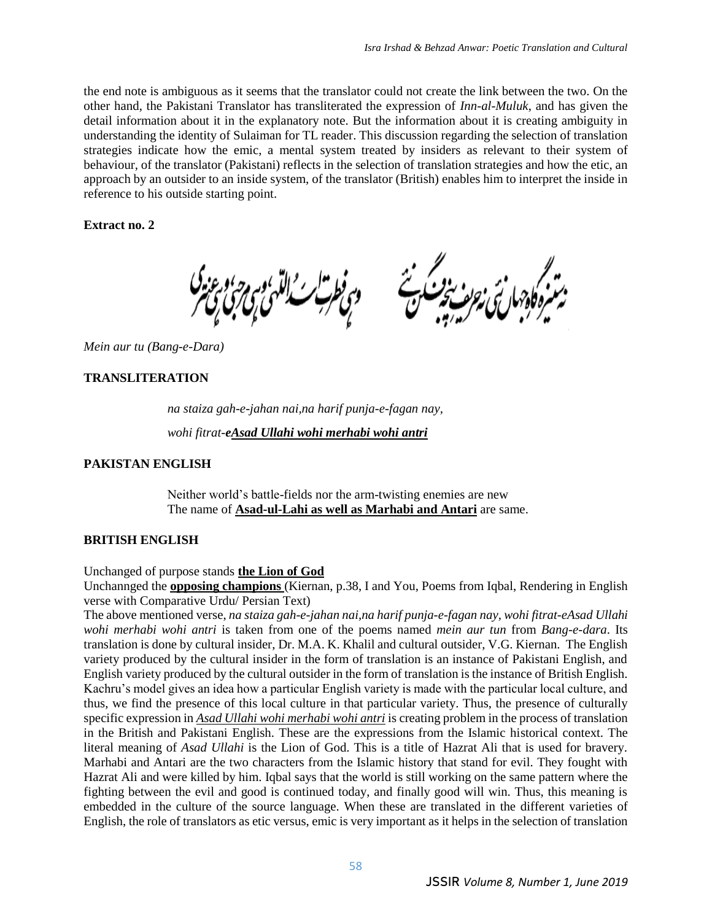the end note is ambiguous as it seems that the translator could not create the link between the two. On the other hand, the Pakistani Translator has transliterated the expression of *Inn-al-Muluk*, and has given the detail information about it in the explanatory note. But the information about it is creating ambiguity in understanding the identity of Sulaiman for TL reader. This discussion regarding the selection of translation strategies indicate how the emic, a mental system treated by insiders as relevant to their system of behaviour, of the translator (Pakistani) reflects in the selection of translation strategies and how the etic, an approach by an outsider to an inside system, of the translator (British) enables him to interpret the inside in reference to his outside starting point.

**Extract no. 2**

*Mein aur tu (Bang-e-Dara)*

## **TRANSLITERATION**

*na staiza gah-e-jahan nai,na harif punja-e-fagan nay, wohi fitrat-eAsad Ullahi wohi merhabi wohi antri*

## **PAKISTAN ENGLISH**

Neither world's battle-fields nor the arm-twisting enemies are new The name of **Asad-ul-Lahi as well as Marhabi and Antari** are same.

## **BRITISH ENGLISH**

Unchanged of purpose stands **the Lion of God**

Unchannged the **opposing champions** (Kiernan, p.38, I and You, Poems from Iqbal, Rendering in English verse with Comparative Urdu/ Persian Text)

The above mentioned verse, *na staiza gah-e-jahan nai,na harif punja-e-fagan nay, wohi fitrat-eAsad Ullahi wohi merhabi wohi antri* is taken from one of the poems named *mein aur tun* from *Bang-e-dara*. Its translation is done by cultural insider, Dr. M.A. K. Khalil and cultural outsider, V.G. Kiernan. The English variety produced by the cultural insider in the form of translation is an instance of Pakistani English, and English variety produced by the cultural outsider in the form of translation is the instance of British English. Kachru's model gives an idea how a particular English variety is made with the particular local culture, and thus, we find the presence of this local culture in that particular variety. Thus, the presence of culturally specific expression in *Asad Ullahi wohi merhabi wohi antri* is creating problem in the process of translation in the British and Pakistani English. These are the expressions from the Islamic historical context. The literal meaning of *Asad Ullahi* is the Lion of God. This is a title of Hazrat Ali that is used for bravery. Marhabi and Antari are the two characters from the Islamic history that stand for evil. They fought with Hazrat Ali and were killed by him. Iqbal says that the world is still working on the same pattern where the fighting between the evil and good is continued today, and finally good will win. Thus, this meaning is embedded in the culture of the source language. When these are translated in the different varieties of English, the role of translators as etic versus, emic is very important as it helps in the selection of translation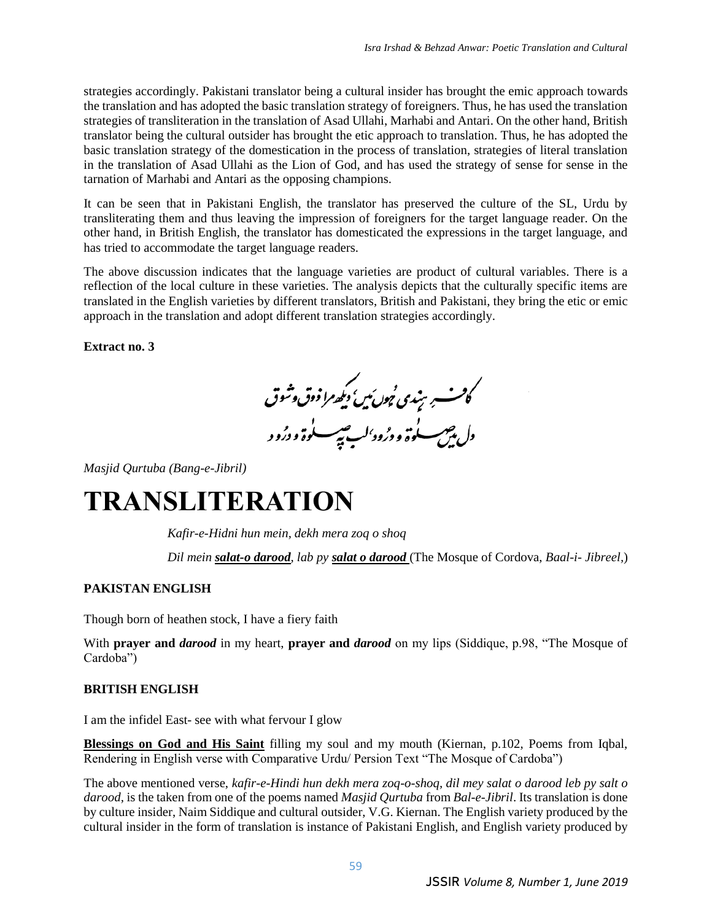strategies accordingly. Pakistani translator being a cultural insider has brought the emic approach towards the translation and has adopted the basic translation strategy of foreigners. Thus, he has used the translation strategies of transliteration in the translation of Asad Ullahi, Marhabi and Antari. On the other hand, British translator being the cultural outsider has brought the etic approach to translation. Thus, he has adopted the basic translation strategy of the domestication in the process of translation, strategies of literal translation in the translation of Asad Ullahi as the Lion of God, and has used the strategy of sense for sense in the tarnation of Marhabi and Antari as the opposing champions.

It can be seen that in Pakistani English, the translator has preserved the culture of the SL, Urdu by transliterating them and thus leaving the impression of foreigners for the target language reader. On the other hand, in British English, the translator has domesticated the expressions in the target language, and has tried to accommodate the target language readers.

The above discussion indicates that the language varieties are product of cultural variables. There is a reflection of the local culture in these varieties. The analysis depicts that the culturally specific items are translated in the English varieties by different translators, British and Pakistani, they bring the etic or emic approach in the translation and adopt different translation strategies accordingly.

**Extract no. 3**

كانسسېر ښندى <sup>ن</sup>ېون <sub>كي</sub>ي د كي<sub>ص</sub>را ذوق وشوق<br>دل پين سلوة و د ژود<sup>،</sup>لب تپېسسلوة و د ژور

*Masjid Qurtuba (Bang-e-Jibril)*

# **TRANSLITERATION**

*Kafir-e-Hidni hun mein, dekh mera zoq o shoq*

*Dil mein salat-o darood, lab py salat o darood* (The Mosque of Cordova, *Baal-i- Jibreel,*)

## **PAKISTAN ENGLISH**

Though born of heathen stock, I have a fiery faith

With **prayer and** *darood* in my heart, **prayer and** *darood* on my lips (Siddique, p.98, "The Mosque of Cardoba")

#### **BRITISH ENGLISH**

I am the infidel East- see with what fervour I glow

**Blessings on God and His Saint** filling my soul and my mouth (Kiernan, p.102, Poems from Iqbal, Rendering in English verse with Comparative Urdu/ Persion Text "The Mosque of Cardoba")

The above mentioned verse, *kafir-e-Hindi hun dekh mera zoq-o-shoq, dil mey salat o darood leb py salt o darood,* is the taken from one of the poems named *Masjid Qurtuba* from *Bal-e-Jibril*. Its translation is done by culture insider, Naim Siddique and cultural outsider, V.G. Kiernan. The English variety produced by the cultural insider in the form of translation is instance of Pakistani English, and English variety produced by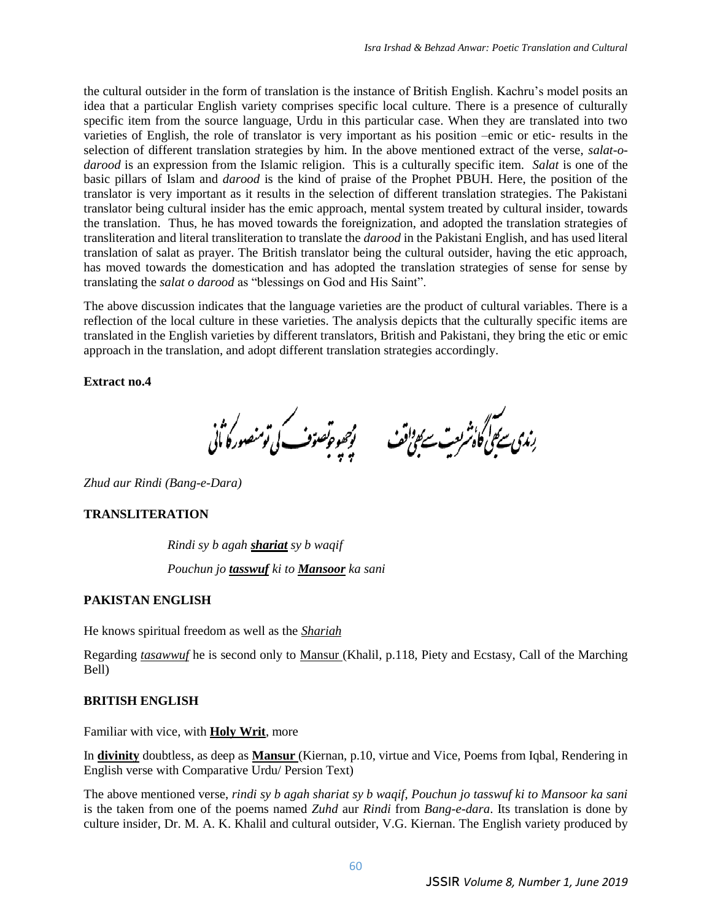the cultural outsider in the form of translation is the instance of British English. Kachru's model posits an idea that a particular English variety comprises specific local culture. There is a presence of culturally specific item from the source language, Urdu in this particular case. When they are translated into two varieties of English, the role of translator is very important as his position –emic or etic- results in the selection of different translation strategies by him. In the above mentioned extract of the verse, *salat-odarood* is an expression from the Islamic religion. This is a culturally specific item. *Salat* is one of the basic pillars of Islam and *darood* is the kind of praise of the Prophet PBUH. Here, the position of the translator is very important as it results in the selection of different translation strategies. The Pakistani translator being cultural insider has the emic approach, mental system treated by cultural insider, towards the translation. Thus, he has moved towards the foreignization, and adopted the translation strategies of transliteration and literal transliteration to translate the *darood* in the Pakistani English, and has used literal translation of salat as prayer. The British translator being the cultural outsider, having the etic approach, has moved towards the domestication and has adopted the translation strategies of sense for sense by translating the *salat o darood* as "blessings on God and His Saint".

The above discussion indicates that the language varieties are the product of cultural variables. There is a reflection of the local culture in these varieties. The analysis depicts that the culturally specific items are translated in the English varieties by different translators, British and Pakistani, they bring the etic or emic approach in the translation, and adopt different translation strategies accordingly.

**Extract no.4**

رندى سے ہيں۔<br>رندى سے ہيں گاؤشرىت سے ہيں قف مسلم پر ہيں تو تو سے کی تو منصور کا اُنی

*Zhud aur Rindi (Bang-e-Dara)*

#### **TRANSLITERATION**

*Rindi sy b agah shariat sy b waqif Pouchun jo tasswuf ki to Mansoor ka sani*

#### **PAKISTAN ENGLISH**

He knows spiritual freedom as well as the *Shariah*

Regarding *tasawwuf* he is second only to Mansur (Khalil, p.118, Piety and Ecstasy, Call of the Marching Bell)

#### **BRITISH ENGLISH**

Familiar with vice, with **Holy Writ**, more

In **divinity** doubtless, as deep as **Mansur** (Kiernan, p.10, virtue and Vice, Poems from Iqbal, Rendering in English verse with Comparative Urdu/ Persion Text)

The above mentioned verse, *rindi sy b agah shariat sy b waqif, Pouchun jo tasswuf ki to Mansoor ka sani*  is the taken from one of the poems named *Zuhd* aur *Rindi* from *Bang-e-dara*. Its translation is done by culture insider, Dr. M. A. K. Khalil and cultural outsider, V.G. Kiernan. The English variety produced by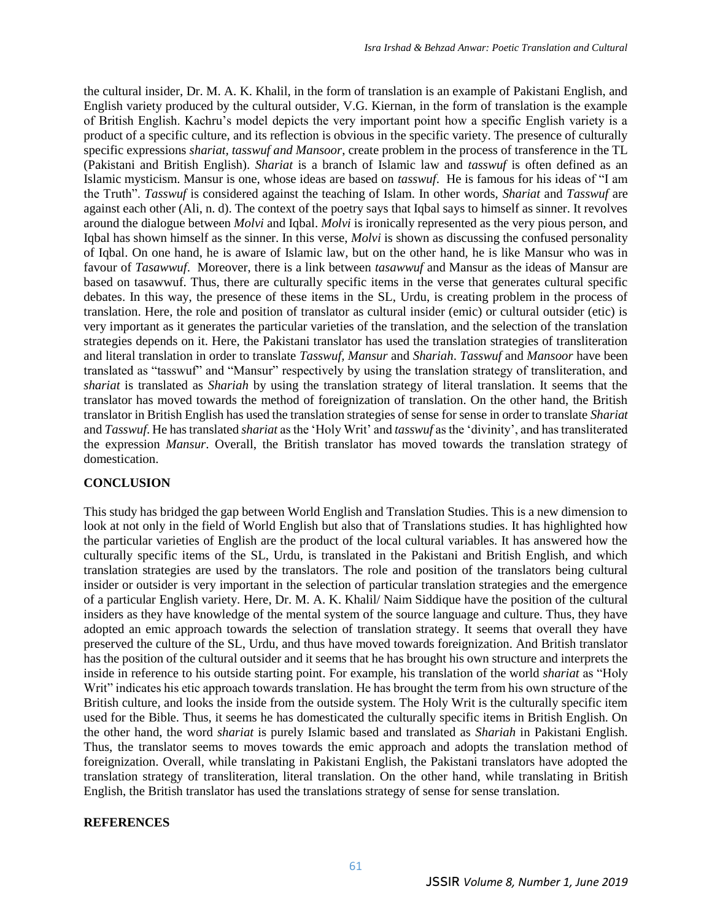the cultural insider, Dr. M. A. K. Khalil, in the form of translation is an example of Pakistani English, and English variety produced by the cultural outsider, V.G. Kiernan, in the form of translation is the example of British English. Kachru's model depicts the very important point how a specific English variety is a product of a specific culture, and its reflection is obvious in the specific variety. The presence of culturally specific expressions *shariat, tasswuf and Mansoor*, create problem in the process of transference in the TL (Pakistani and British English). *Shariat* is a branch of Islamic law and *tasswuf* is often defined as an Islamic mysticism. Mansur is one, whose ideas are based on *tasswuf*. He is famous for his ideas of "I am the Truth". *Tasswuf* is considered against the teaching of Islam. In other words, *Shariat* and *Tasswuf* are against each other (Ali, n. d). The context of the poetry says that Iqbal says to himself as sinner. It revolves around the dialogue between *Molvi* and Iqbal. *Molvi* is ironically represented as the very pious person, and Iqbal has shown himself as the sinner. In this verse, *Molvi* is shown as discussing the confused personality of Iqbal. On one hand, he is aware of Islamic law, but on the other hand, he is like Mansur who was in favour of *Tasawwuf*. Moreover, there is a link between *tasawwuf* and Mansur as the ideas of Mansur are based on tasawwuf. Thus, there are culturally specific items in the verse that generates cultural specific debates. In this way, the presence of these items in the SL, Urdu, is creating problem in the process of translation. Here, the role and position of translator as cultural insider (emic) or cultural outsider (etic) is very important as it generates the particular varieties of the translation, and the selection of the translation strategies depends on it. Here, the Pakistani translator has used the translation strategies of transliteration and literal translation in order to translate *Tasswuf, Mansur* and *Shariah*. *Tasswuf* and *Mansoor* have been translated as "tasswuf" and "Mansur" respectively by using the translation strategy of transliteration, and *shariat* is translated as *Shariah* by using the translation strategy of literal translation. It seems that the translator has moved towards the method of foreignization of translation. On the other hand, the British translator in British English has used the translation strategies of sense for sense in order to translate *Shariat* and *Tasswuf*. He has translated *shariat* as the 'Holy Writ' and *tasswuf* as the 'divinity', and has transliterated the expression *Mansur*. Overall, the British translator has moved towards the translation strategy of domestication.

#### **CONCLUSION**

This study has bridged the gap between World English and Translation Studies. This is a new dimension to look at not only in the field of World English but also that of Translations studies. It has highlighted how the particular varieties of English are the product of the local cultural variables. It has answered how the culturally specific items of the SL, Urdu, is translated in the Pakistani and British English, and which translation strategies are used by the translators. The role and position of the translators being cultural insider or outsider is very important in the selection of particular translation strategies and the emergence of a particular English variety. Here, Dr. M. A. K. Khalil/ Naim Siddique have the position of the cultural insiders as they have knowledge of the mental system of the source language and culture. Thus, they have adopted an emic approach towards the selection of translation strategy. It seems that overall they have preserved the culture of the SL, Urdu, and thus have moved towards foreignization. And British translator has the position of the cultural outsider and it seems that he has brought his own structure and interprets the inside in reference to his outside starting point. For example, his translation of the world *shariat* as "Holy Writ" indicates his etic approach towards translation. He has brought the term from his own structure of the British culture, and looks the inside from the outside system. The Holy Writ is the culturally specific item used for the Bible. Thus, it seems he has domesticated the culturally specific items in British English. On the other hand, the word *shariat* is purely Islamic based and translated as *Shariah* in Pakistani English. Thus, the translator seems to moves towards the emic approach and adopts the translation method of foreignization. Overall, while translating in Pakistani English, the Pakistani translators have adopted the translation strategy of transliteration, literal translation. On the other hand, while translating in British English, the British translator has used the translations strategy of sense for sense translation.

#### **REFERENCES**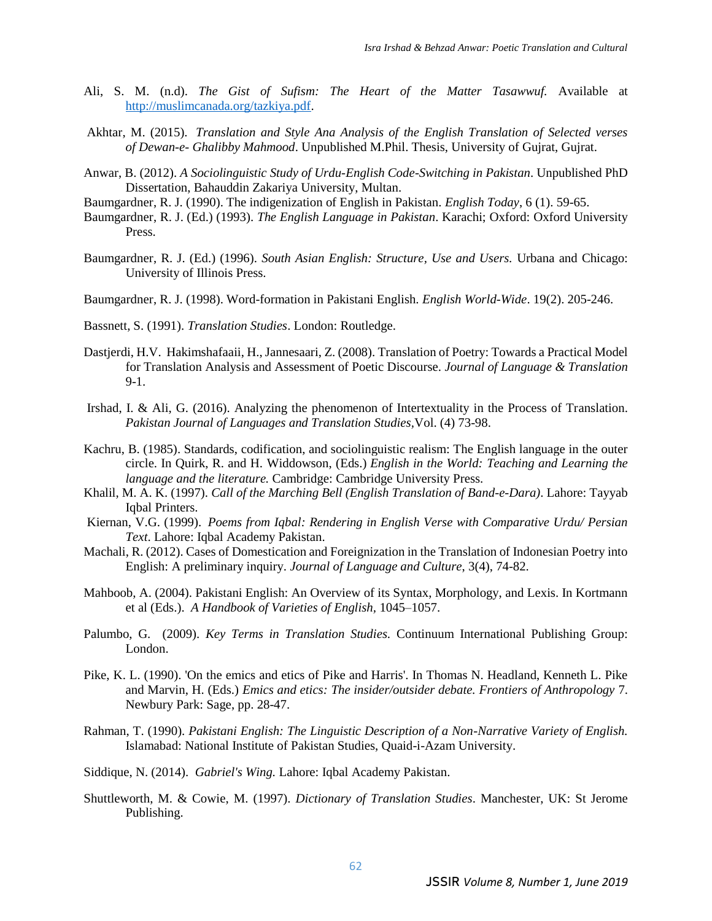- Ali, S. M. (n.d). *The Gist of Sufism: The Heart of the Matter Tasawwuf.* Available at [http://muslimcanada.org/tazkiya.pdf.](http://muslimcanada.org/tazkiya.pdf)
- Akhtar, M. (2015). *Translation and Style Ana Analysis of the English Translation of Selected verses of Dewan-e- Ghalibby Mahmood*. Unpublished M.Phil. Thesis, University of Gujrat, Gujrat.
- Anwar, B. (2012). *A Sociolinguistic Study of Urdu-English Code-Switching in Pakistan*. Unpublished PhD Dissertation, Bahauddin Zakariya University, Multan.
- Baumgardner, R. J. (1990). The indigenization of English in Pakistan. *English Today*, 6 (1). 59-65.
- Baumgardner, R. J. (Ed.) (1993). *The English Language in Pakistan*. Karachi; Oxford: Oxford University Press.
- Baumgardner, R. J. (Ed.) (1996). *South Asian English: Structure, Use and Users.* Urbana and Chicago: University of Illinois Press.
- Baumgardner, R. J. (1998). Word-formation in Pakistani English. *English World-Wide*. 19(2). 205-246.
- Bassnett, S. (1991). *Translation Studies*. London: Routledge.
- Dastjerdi, H.V. Hakimshafaaii, H., Jannesaari, Z. (2008). Translation of Poetry: Towards a Practical Model for Translation Analysis and Assessment of Poetic Discourse. *Journal of Language & Translation*  9-1.
- Irshad, I. & Ali, G. (2016). Analyzing the phenomenon of Intertextuality in the Process of Translation. *Pakistan Journal of Languages and Translation Studies,*Vol. (4) 73-98.
- Kachru, B. (1985). Standards, codification, and sociolinguistic realism: The English language in the outer circle. In Quirk, R. and H. Widdowson, (Eds.) *English in the World: Teaching and Learning the language and the literature.* Cambridge: Cambridge University Press.
- Khalil, M. A. K. (1997). *Call of the Marching Bell (English Translation of Band-e-Dara)*. Lahore: Tayyab Iqbal Printers.
- Kiernan, V.G. (1999). *Poems from Iqbal: Rendering in English Verse with Comparative Urdu/ Persian Text*. Lahore: Iqbal Academy Pakistan.
- Machali, R. (2012). Cases of Domestication and Foreignization in the Translation of Indonesian Poetry into English: A preliminary inquiry. *Journal of Language and Culture*, 3(4), 74-82.
- Mahboob, A. (2004). Pakistani English: An Overview of its Syntax, Morphology, and Lexis. In Kortmann et al (Eds.). *A Handbook of Varieties of English,* 1045–1057.
- Palumbo, G. (2009). *Key Terms in Translation Studies.* Continuum International Publishing Group: London.
- Pike, K. L. (1990). 'On the emics and etics of Pike and Harris'. In Thomas N. Headland, Kenneth L. Pike and Marvin, H. (Eds.) *Emics and etics: The insider/outsider debate. Frontiers of Anthropology* 7. Newbury Park: Sage, pp. 28-47.
- Rahman, T. (1990). *Pakistani English: The Linguistic Description of a Non-Narrative Variety of English.*  Islamabad: National Institute of Pakistan Studies, Quaid-i-Azam University.
- Siddique, N. (2014). *Gabriel's Wing.* Lahore: Iqbal Academy Pakistan.
- Shuttleworth, M. & Cowie, M. (1997). *Dictionary of Translation Studies*. Manchester, UK: St Jerome Publishing.